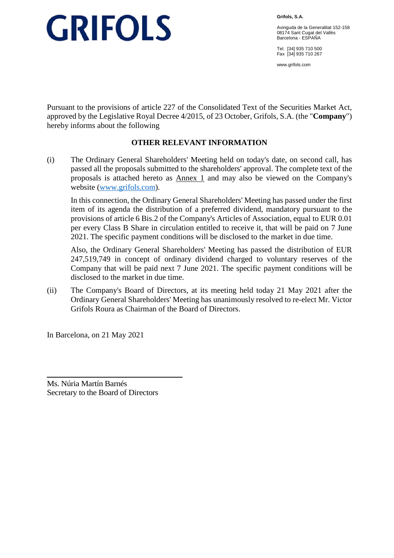**Grifols, S.A.** 

Avinguda de la Generalitat 152-158 08174 Sant Cugat del Vallès Barcelona - ESPAÑA

Tel. [34] 935 710 500 Fax [34] 935 710 267

www.grifols.com

Pursuant to the provisions of article 227 of the Consolidated Text of the Securities Market Act, approved by the Legislative Royal Decree 4/2015, of 23 October, Grifols, S.A. (the "**Company**") hereby informs about the following

### **OTHER RELEVANT INFORMATION**

(i) The Ordinary General Shareholders' Meeting held on today's date, on second call, has passed all the proposals submitted to the shareholders' approval. The complete text of the proposals is attached hereto as Annex 1 and may also be viewed on the Company's website (www.grifols.com).

In this connection, the Ordinary General Shareholders' Meeting has passed under the first item of its agenda the distribution of a preferred dividend, mandatory pursuant to the provisions of article 6 Bis.2 of the Company's Articles of Association, equal to EUR 0.01 per every Class B Share in circulation entitled to receive it, that will be paid on 7 June 2021. The specific payment conditions will be disclosed to the market in due time.

Also, the Ordinary General Shareholders' Meeting has passed the distribution of EUR 247,519,749 in concept of ordinary dividend charged to voluntary reserves of the Company that will be paid next 7 June 2021. The specific payment conditions will be disclosed to the market in due time.

(ii) The Company's Board of Directors, at its meeting held today 21 May 2021 after the Ordinary General Shareholders' Meeting has unanimously resolved to re-elect Mr. Victor Grifols Roura as Chairman of the Board of Directors.

In Barcelona, on 21 May 2021

Ms. Núria Martín Barnés Secretary to the Board of Directors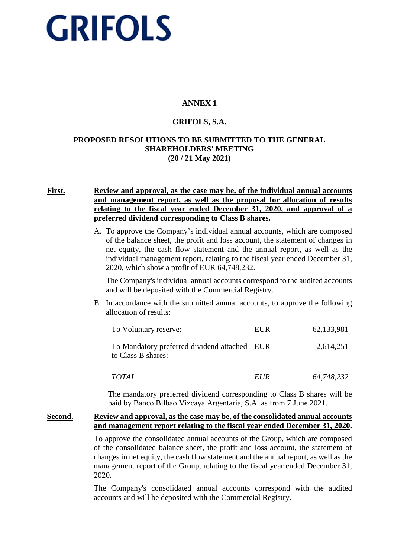## **ANNEX 1**

#### **GRIFOLS, S.A.**

#### **PROPOSED RESOLUTIONS TO BE SUBMITTED TO THE GENERAL SHAREHOLDERS' MEETING (20 / 21 May 2021)**

#### **First. Review and approval, as the case may be, of the individual annual accounts and management report, as well as the proposal for allocation of results relating to the fiscal year ended December 31, 2020, and approval of a preferred dividend corresponding to Class B shares.**

A. To approve the Company's individual annual accounts, which are composed of the balance sheet, the profit and loss account, the statement of changes in net equity, the cash flow statement and the annual report, as well as the individual management report, relating to the fiscal year ended December 31, 2020, which show a profit of EUR 64,748,232.

The Company's individual annual accounts correspond to the audited accounts and will be deposited with the Commercial Registry.

B. In accordance with the submitted annual accounts, to approve the following allocation of results:

| To Voluntary reserve:                                              | EUR | 62,133,981 |
|--------------------------------------------------------------------|-----|------------|
| To Mandatory preferred dividend attached EUR<br>to Class B shares: |     | 2,614,251  |

*TOTAL EUR 64,748,232*

The mandatory preferred dividend corresponding to Class B shares will be paid by Banco Bilbao Vizcaya Argentaria, S.A. as from 7 June 2021.

#### **Second. Review and approval, as the case may be, of the consolidated annual accounts and management report relating to the fiscal year ended December 31, 2020.**

To approve the consolidated annual accounts of the Group, which are composed of the consolidated balance sheet, the profit and loss account, the statement of changes in net equity, the cash flow statement and the annual report, as well as the management report of the Group, relating to the fiscal year ended December 31, 2020.

The Company's consolidated annual accounts correspond with the audited accounts and will be deposited with the Commercial Registry.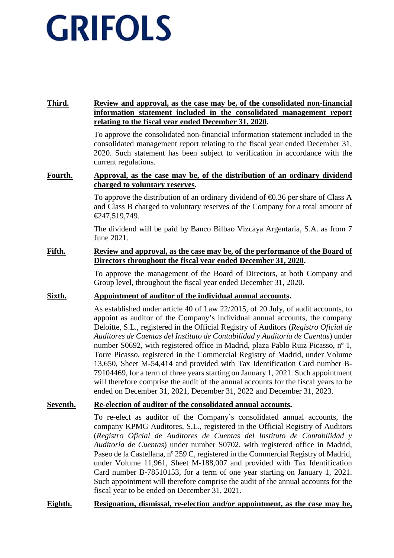### **Third. Review and approval, as the case may be, of the consolidated non-financial information statement included in the consolidated management report relating to the fiscal year ended December 31, 2020.**

To approve the consolidated non-financial information statement included in the consolidated management report relating to the fiscal year ended December 31, 2020. Such statement has been subject to verification in accordance with the current regulations.

#### **Fourth. Approval, as the case may be, of the distribution of an ordinary dividend charged to voluntary reserves.**

To approve the distribution of an ordinary dividend of  $\bigoplus$ .36 per share of Class A and Class B charged to voluntary reserves of the Company for a total amount of €247,519,749.

The dividend will be paid by Banco Bilbao Vizcaya Argentaria, S.A. as from 7 June 2021.

#### **Fifth. Review and approval, as the case may be, of the performance of the Board of Directors throughout the fiscal year ended December 31, 2020.**

To approve the management of the Board of Directors, at both Company and Group level, throughout the fiscal year ended December 31, 2020.

### **Sixth. Appointment of auditor of the individual annual accounts.**

As established under article 40 of Law 22/2015, of 20 July, of audit accounts, to appoint as auditor of the Company's individual annual accounts, the company Deloitte, S.L., registered in the Official Registry of Auditors (*Registro Oficial de Auditores de Cuentas del Instituto de Contabilidad y Auditoría de Cuentas*) under number S0692, with registered office in Madrid, plaza Pablo Ruiz Picasso, nº 1, Torre Picasso, registered in the Commercial Registry of Madrid, under Volume 13,650, Sheet M-54,414 and provided with Tax Identification Card number B-79104469, for a term of three years starting on January 1, 2021. Such appointment will therefore comprise the audit of the annual accounts for the fiscal years to be ended on December 31, 2021, December 31, 2022 and December 31, 2023.

#### **Seventh. Re-election of auditor of the consolidated annual accounts.**

To re-elect as auditor of the Company's consolidated annual accounts, the company KPMG Auditores, S.L., registered in the Official Registry of Auditors (*Registro Oficial de Auditores de Cuentas del Instituto de Contabilidad y Auditoría de Cuentas*) under number S0702, with registered office in Madrid, Paseo de la Castellana, nº 259 C, registered in the Commercial Registry of Madrid, under Volume 11,961, Sheet M-188,007 and provided with Tax Identification Card number B-78510153, for a term of one year starting on January 1, 2021. Such appointment will therefore comprise the audit of the annual accounts for the fiscal year to be ended on December 31, 2021.

### **Eighth. Resignation, dismissal, re-election and/or appointment, as the case may be,**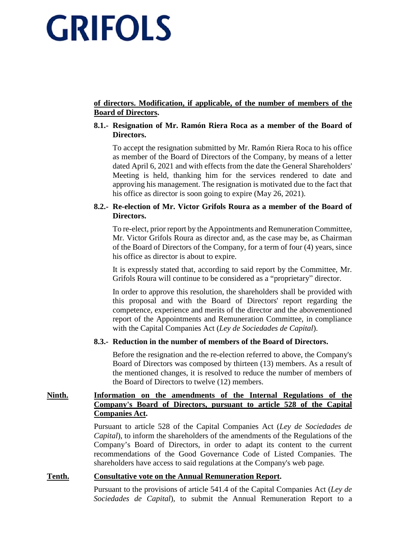### **of directors. Modification, if applicable, of the number of members of the Board of Directors.**

#### **8.1.- Resignation of Mr. Ramón Riera Roca as a member of the Board of Directors.**

To accept the resignation submitted by Mr. Ramón Riera Roca to his office as member of the Board of Directors of the Company, by means of a letter dated April 6, 2021 and with effects from the date the General Shareholders' Meeting is held, thanking him for the services rendered to date and approving his management. The resignation is motivated due to the fact that his office as director is soon going to expire (May 26, 2021).

#### **8.2.- Re-election of Mr. Victor Grifols Roura as a member of the Board of Directors.**

To re-elect, prior report by the Appointments and Remuneration Committee, Mr. Victor Grifols Roura as director and, as the case may be, as Chairman of the Board of Directors of the Company, for a term of four (4) years, since his office as director is about to expire.

It is expressly stated that, according to said report by the Committee, Mr. Grifols Roura will continue to be considered as a "proprietary" director.

In order to approve this resolution, the shareholders shall be provided with this proposal and with the Board of Directors' report regarding the competence, experience and merits of the director and the abovementioned report of the Appointments and Remuneration Committee, in compliance with the Capital Companies Act (*Ley de Sociedades de Capital*).

#### **8.3.- Reduction in the number of members of the Board of Directors.**

Before the resignation and the re-election referred to above, the Company's Board of Directors was composed by thirteen (13) members. As a result of the mentioned changes, it is resolved to reduce the number of members of the Board of Directors to twelve (12) members.

### **Ninth. Information on the amendments of the Internal Regulations of the Company's Board of Directors, pursuant to article 528 of the Capital Companies Act.**

Pursuant to article 528 of the Capital Companies Act (*Ley de Sociedades de Capital*), to inform the shareholders of the amendments of the Regulations of the Company's Board of Directors, in order to adapt its content to the current recommendations of the Good Governance Code of Listed Companies. The shareholders have access to said regulations at the Company's web page*.* 

#### **Tenth. Consultative vote on the Annual Remuneration Report.**

Pursuant to the provisions of article 541.4 of the Capital Companies Act (*Ley de Sociedades de Capital*), to submit the Annual Remuneration Report to a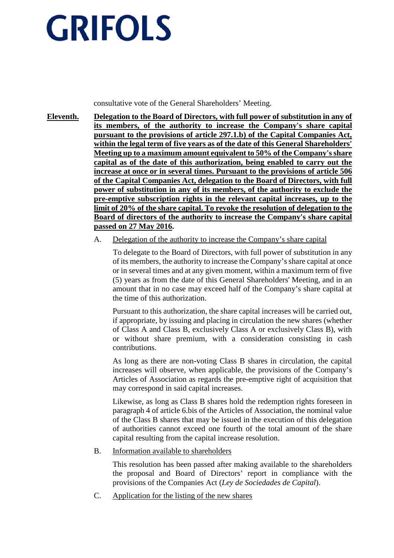consultative vote of the General Shareholders' Meeting.

- **Eleventh. Delegation to the Board of Directors, with full power of substitution in any of its members, of the authority to increase the Company's share capital pursuant to the provisions of article 297.1.b) of the Capital Companies Act, within the legal term of five years as of the date of this General Shareholders' Meeting up to a maximum amount equivalent to 50% of the Company's share capital as of the date of this authorization, being enabled to carry out the increase at once or in several times. Pursuant to the provisions of article 506 of the Capital Companies Act, delegation to the Board of Directors, with full power of substitution in any of its members, of the authority to exclude the pre-emptive subscription rights in the relevant capital increases, up to the limit of 20% of the share capital. To revoke the resolution of delegation to the Board of directors of the authority to increase the Company's share capital passed on 27 May 2016.** 
	- A. Delegation of the authority to increase the Company's share capital

To delegate to the Board of Directors, with full power of substitution in any of its members, the authority to increase the Company's share capital at once or in several times and at any given moment, within a maximum term of five (5) years as from the date of this General Shareholders' Meeting, and in an amount that in no case may exceed half of the Company's share capital at the time of this authorization.

Pursuant to this authorization, the share capital increases will be carried out, if appropriate, by issuing and placing in circulation the new shares (whether of Class A and Class B, exclusively Class A or exclusively Class B), with or without share premium, with a consideration consisting in cash contributions.

As long as there are non-voting Class B shares in circulation, the capital increases will observe, when applicable, the provisions of the Company's Articles of Association as regards the pre-emptive right of acquisition that may correspond in said capital increases.

Likewise, as long as Class B shares hold the redemption rights foreseen in paragraph 4 of article 6.bis of the Articles of Association, the nominal value of the Class B shares that may be issued in the execution of this delegation of authorities cannot exceed one fourth of the total amount of the share capital resulting from the capital increase resolution.

B. Information available to shareholders

This resolution has been passed after making available to the shareholders the proposal and Board of Directors' report in compliance with the provisions of the Companies Act (*Ley de Sociedades de Capital*).

C. Application for the listing of the new shares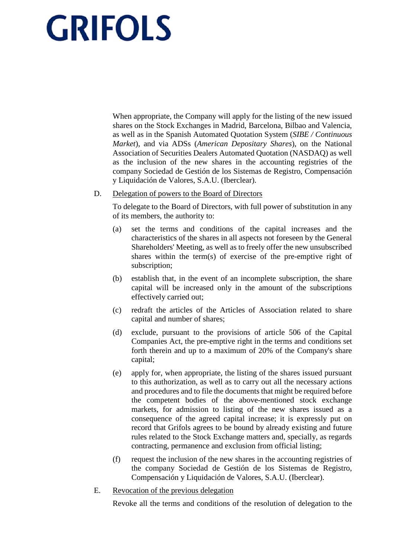When appropriate, the Company will apply for the listing of the new issued shares on the Stock Exchanges in Madrid, Barcelona, Bilbao and Valencia, as well as in the Spanish Automated Quotation System (*SIBE / Continuous Market*), and via ADSs (*American Depositary Shares*), on the National Association of Securities Dealers Automated Quotation (NASDAQ) as well as the inclusion of the new shares in the accounting registries of the company Sociedad de Gestión de los Sistemas de Registro, Compensación y Liquidación de Valores, S.A.U. (Iberclear).

#### D. Delegation of powers to the Board of Directors

To delegate to the Board of Directors, with full power of substitution in any of its members, the authority to:

- (a) set the terms and conditions of the capital increases and the characteristics of the shares in all aspects not foreseen by the General Shareholders' Meeting, as well as to freely offer the new unsubscribed shares within the term(s) of exercise of the pre-emptive right of subscription;
- (b) establish that, in the event of an incomplete subscription, the share capital will be increased only in the amount of the subscriptions effectively carried out;
- (c) redraft the articles of the Articles of Association related to share capital and number of shares;
- (d) exclude, pursuant to the provisions of article 506 of the Capital Companies Act, the pre-emptive right in the terms and conditions set forth therein and up to a maximum of 20% of the Company's share capital;
- (e) apply for, when appropriate, the listing of the shares issued pursuant to this authorization, as well as to carry out all the necessary actions and procedures and to file the documents that might be required before the competent bodies of the above-mentioned stock exchange markets, for admission to listing of the new shares issued as a consequence of the agreed capital increase; it is expressly put on record that Grifols agrees to be bound by already existing and future rules related to the Stock Exchange matters and, specially, as regards contracting, permanence and exclusion from official listing;
- (f) request the inclusion of the new shares in the accounting registries of the company Sociedad de Gestión de los Sistemas de Registro, Compensación y Liquidación de Valores, S.A.U. (Iberclear).
- E. Revocation of the previous delegation

Revoke all the terms and conditions of the resolution of delegation to the